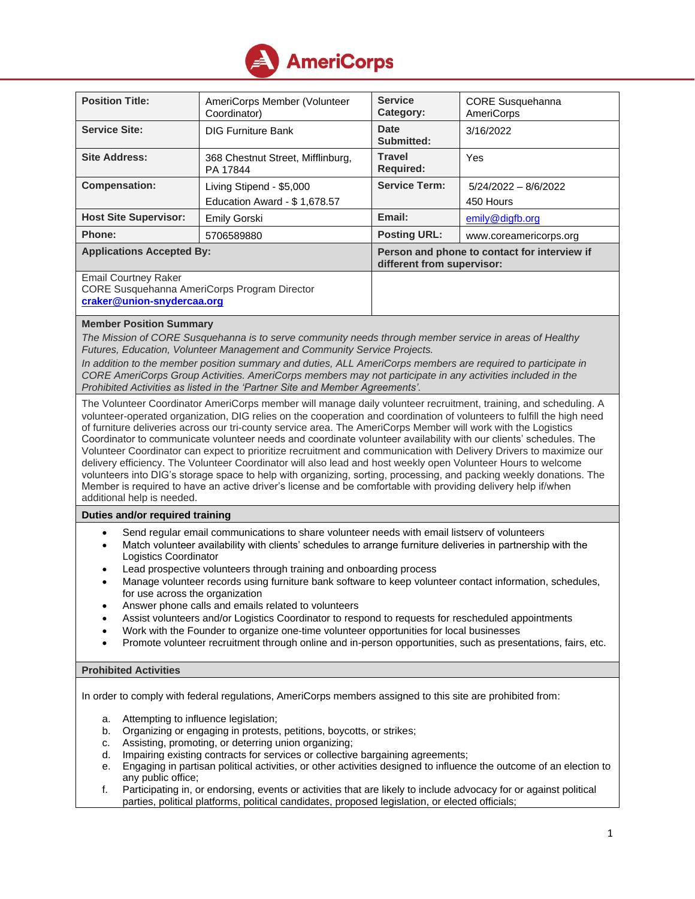

| <b>Position Title:</b>                                                                                                                   | AmeriCorps Member (Volunteer<br>Coordinator)             | <b>Service</b><br>Category:                                                | <b>CORE Susquehanna</b><br><b>AmeriCorps</b> |  |
|------------------------------------------------------------------------------------------------------------------------------------------|----------------------------------------------------------|----------------------------------------------------------------------------|----------------------------------------------|--|
| <b>Service Site:</b>                                                                                                                     | <b>DIG Furniture Bank</b>                                | <b>Date</b><br><b>Submitted:</b>                                           | 3/16/2022                                    |  |
| <b>Site Address:</b>                                                                                                                     | 368 Chestnut Street, Mifflinburg,<br>PA 17844            | <b>Travel</b><br><b>Required:</b>                                          | Yes                                          |  |
| <b>Compensation:</b>                                                                                                                     | Living Stipend - \$5,000<br>Education Award - \$1,678.57 | <b>Service Term:</b>                                                       | $5/24/2022 - 8/6/2022$<br>450 Hours          |  |
| <b>Host Site Supervisor:</b>                                                                                                             | <b>Emily Gorski</b>                                      | Email:                                                                     | emily@digfb.org                              |  |
| Phone:                                                                                                                                   | 5706589880                                               | <b>Posting URL:</b>                                                        | www.coreamericorps.org                       |  |
| <b>Applications Accepted By:</b>                                                                                                         |                                                          | Person and phone to contact for interview if<br>different from supervisor: |                                              |  |
| <b>Email Courtney Raker</b><br>CORE Susquehanna AmeriCorps Program Director<br>craker@union-snydercaa.org                                |                                                          |                                                                            |                                              |  |
| <b>Member Position Summary</b><br>The Mission of CODE Superiphones is to some community poods through mamber service in gross of Hoolthy |                                                          |                                                                            |                                              |  |

*The Mission of CORE Susquehanna is to serve community needs through member service in areas of Healthy Futures, Education, Volunteer Management and Community Service Projects.*

*In addition to the member position summary and duties, ALL AmeriCorps members are required to participate in CORE AmeriCorps Group Activities. AmeriCorps members may not participate in any activities included in the Prohibited Activities as listed in the 'Partner Site and Member Agreements'.*

The Volunteer Coordinator AmeriCorps member will manage daily volunteer recruitment, training, and scheduling. A volunteer-operated organization, DIG relies on the cooperation and coordination of volunteers to fulfill the high need of furniture deliveries across our tri-county service area. The AmeriCorps Member will work with the Logistics Coordinator to communicate volunteer needs and coordinate volunteer availability with our clients' schedules. The Volunteer Coordinator can expect to prioritize recruitment and communication with Delivery Drivers to maximize our delivery efficiency. The Volunteer Coordinator will also lead and host weekly open Volunteer Hours to welcome volunteers into DIG's storage space to help with organizing, sorting, processing, and packing weekly donations. The Member is required to have an active driver's license and be comfortable with providing delivery help if/when additional help is needed.

# **Duties and/or required training**

- Send regular email communications to share volunteer needs with email listserv of volunteers
- Match volunteer availability with clients' schedules to arrange furniture deliveries in partnership with the Logistics Coordinator
- Lead prospective volunteers through training and onboarding process
- Manage volunteer records using furniture bank software to keep volunteer contact information, schedules, for use across the organization
- Answer phone calls and emails related to volunteers
- Assist volunteers and/or Logistics Coordinator to respond to requests for rescheduled appointments
- Work with the Founder to organize one-time volunteer opportunities for local businesses
- Promote volunteer recruitment through online and in-person opportunities, such as presentations, fairs, etc.

# **Prohibited Activities**

In order to comply with federal regulations, AmeriCorps members assigned to this site are prohibited from:

- a. Attempting to influence legislation;
- b. Organizing or engaging in protests, petitions, boycotts, or strikes;
- c. Assisting, promoting, or deterring union organizing;
- d. Impairing existing contracts for services or collective bargaining agreements;
- e. Engaging in partisan political activities, or other activities designed to influence the outcome of an election to any public office;
- f. Participating in, or endorsing, events or activities that are likely to include advocacy for or against political parties, political platforms, political candidates, proposed legislation, or elected officials;